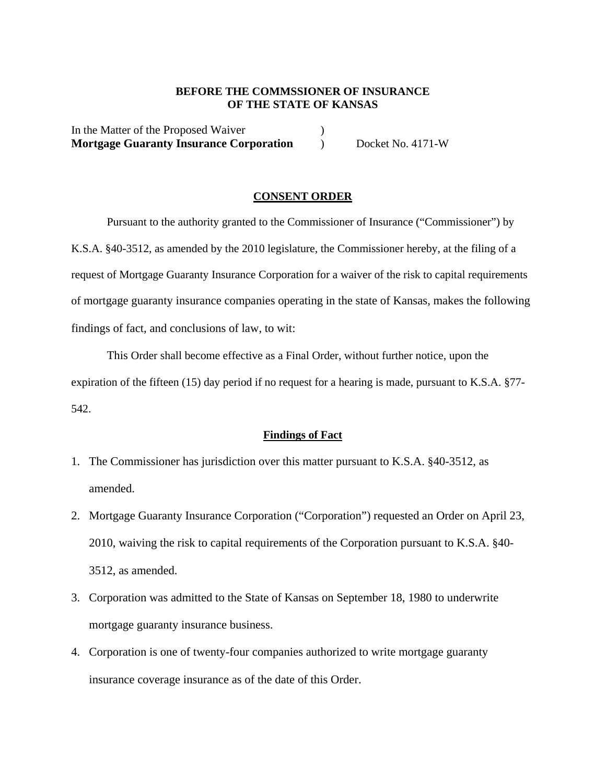## **BEFORE THE COMMSSIONER OF INSURANCE OF THE STATE OF KANSAS**

In the Matter of the Proposed Waiver (1) **Mortgage Guaranty Insurance Corporation** ) Docket No. 4171-W

#### **CONSENT ORDER**

Pursuant to the authority granted to the Commissioner of Insurance ("Commissioner") by K.S.A. §40-3512, as amended by the 2010 legislature, the Commissioner hereby, at the filing of a request of Mortgage Guaranty Insurance Corporation for a waiver of the risk to capital requirements of mortgage guaranty insurance companies operating in the state of Kansas, makes the following findings of fact, and conclusions of law, to wit:

This Order shall become effective as a Final Order, without further notice, upon the expiration of the fifteen (15) day period if no request for a hearing is made, pursuant to K.S.A. §77- 542.

## **Findings of Fact**

- 1. The Commissioner has jurisdiction over this matter pursuant to K.S.A. §40-3512, as amended.
- 2. Mortgage Guaranty Insurance Corporation ("Corporation") requested an Order on April 23, 2010, waiving the risk to capital requirements of the Corporation pursuant to K.S.A. §40- 3512, as amended.
- 3. Corporation was admitted to the State of Kansas on September 18, 1980 to underwrite mortgage guaranty insurance business.
- 4. Corporation is one of twenty-four companies authorized to write mortgage guaranty insurance coverage insurance as of the date of this Order.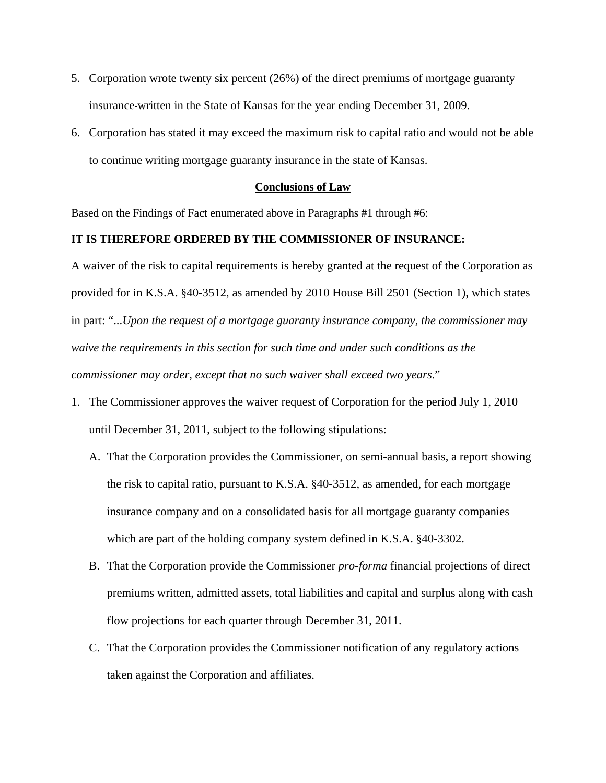- 5. Corporation wrote twenty six percent (26%) of the direct premiums of mortgage guaranty insurance written in the State of Kansas for the year ending December 31, 2009.
- 6. Corporation has stated it may exceed the maximum risk to capital ratio and would not be able to continue writing mortgage guaranty insurance in the state of Kansas.

## **Conclusions of Law**

Based on the Findings of Fact enumerated above in Paragraphs #1 through #6:

## **IT IS THEREFORE ORDERED BY THE COMMISSIONER OF INSURANCE:**

A waiver of the risk to capital requirements is hereby granted at the request of the Corporation as provided for in K.S.A. §40-3512, as amended by 2010 House Bill 2501 (Section 1), which states in part: "...*Upon the request of a mortgage guaranty insurance company, the commissioner may waive the requirements in this section for such time and under such conditions as the commissioner may order, except that no such waiver shall exceed two years*."

- 1. The Commissioner approves the waiver request of Corporation for the period July 1, 2010 until December 31, 2011, subject to the following stipulations:
	- A. That the Corporation provides the Commissioner, on semi-annual basis, a report showing the risk to capital ratio, pursuant to K.S.A. §40-3512, as amended, for each mortgage insurance company and on a consolidated basis for all mortgage guaranty companies which are part of the holding company system defined in K.S.A. §40-3302.
	- B. That the Corporation provide the Commissioner *pro-forma* financial projections of direct premiums written, admitted assets, total liabilities and capital and surplus along with cash flow projections for each quarter through December 31, 2011.
	- C. That the Corporation provides the Commissioner notification of any regulatory actions taken against the Corporation and affiliates.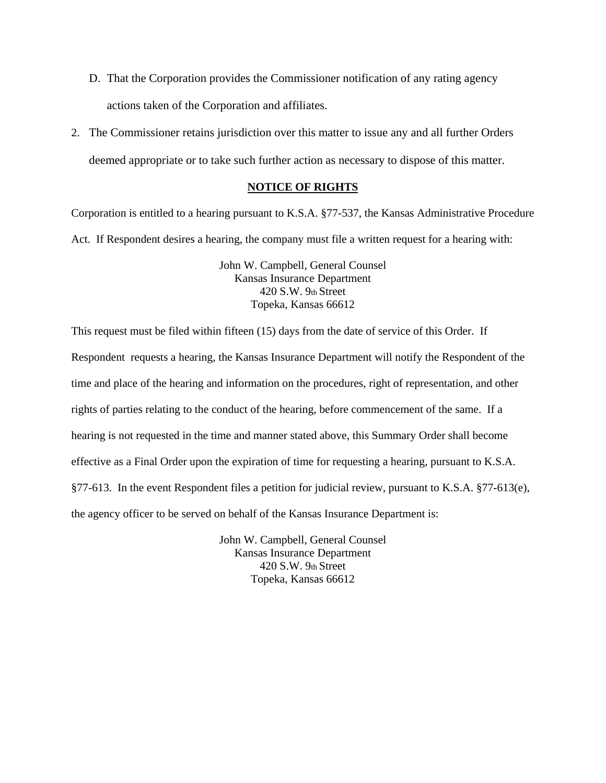- D. That the Corporation provides the Commissioner notification of any rating agency actions taken of the Corporation and affiliates.
- 2. The Commissioner retains jurisdiction over this matter to issue any and all further Orders deemed appropriate or to take such further action as necessary to dispose of this matter.

## **NOTICE OF RIGHTS**

Corporation is entitled to a hearing pursuant to K.S.A. §77-537, the Kansas Administrative Procedure Act. If Respondent desires a hearing, the company must file a written request for a hearing with:

> John W. Campbell, General Counsel Kansas Insurance Department 420 S.W. 9th Street Topeka, Kansas 66612

This request must be filed within fifteen (15) days from the date of service of this Order. If Respondent requests a hearing, the Kansas Insurance Department will notify the Respondent of the time and place of the hearing and information on the procedures, right of representation, and other rights of parties relating to the conduct of the hearing, before commencement of the same. If a hearing is not requested in the time and manner stated above, this Summary Order shall become effective as a Final Order upon the expiration of time for requesting a hearing, pursuant to K.S.A. §77-613. In the event Respondent files a petition for judicial review, pursuant to K.S.A. §77-613(e), the agency officer to be served on behalf of the Kansas Insurance Department is:

> John W. Campbell, General Counsel Kansas Insurance Department 420 S.W. 9th Street Topeka, Kansas 66612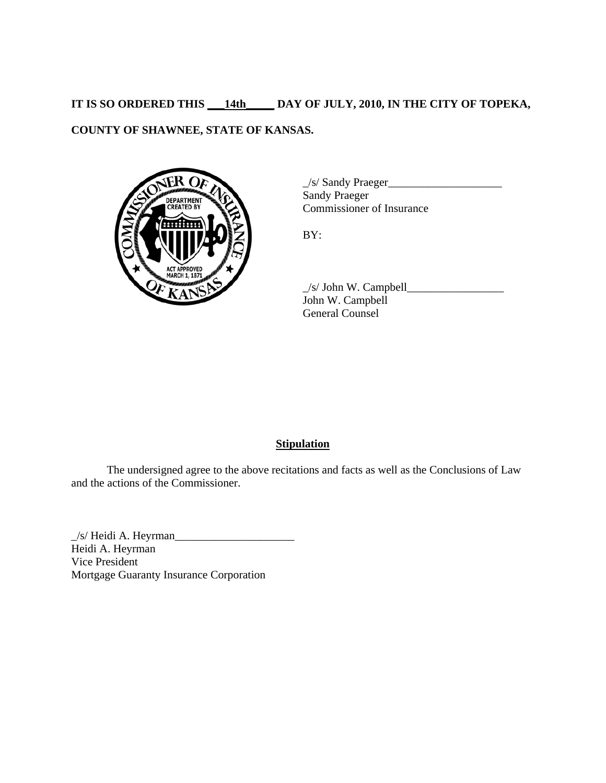# **IT IS SO ORDERED THIS \_\_\_14th\_\_\_\_\_ DAY OF JULY, 2010, IN THE CITY OF TOPEKA,**

## **COUNTY OF SHAWNEE, STATE OF KANSAS.**



\_/s/ Sandy Praeger\_\_\_\_\_\_\_\_\_\_\_\_\_\_\_\_\_\_\_\_ Sandy Praeger Commissioner of Insurance

BY:

 $\angle$ s/ John W. Campbell $\angle$ John W. Campbell General Counsel

## **Stipulation**

 The undersigned agree to the above recitations and facts as well as the Conclusions of Law and the actions of the Commissioner.

 $\angle$ /s/ Heidi A. Heyrman $\angle$ Heidi A. Heyrman Vice President Mortgage Guaranty Insurance Corporation